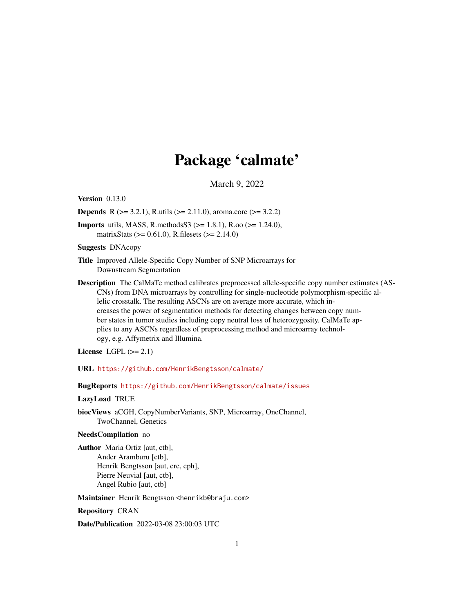## Package 'calmate'

March 9, 2022

<span id="page-0-0"></span>Version 0.13.0

**Depends** R ( $>= 3.2.1$ ), R.utils ( $>= 2.11.0$ ), aroma.core ( $>= 3.2.2$ )

**Imports** utils, MASS, R.methods  $S3$  ( $>= 1.8.1$ ), R.oo ( $>= 1.24.0$ ), matrixStats (>= 0.61.0), R.filesets (>= 2.14.0)

Suggests DNAcopy

- Title Improved Allele-Specific Copy Number of SNP Microarrays for Downstream Segmentation
- Description The CalMaTe method calibrates preprocessed allele-specific copy number estimates (AS-CNs) from DNA microarrays by controlling for single-nucleotide polymorphism-specific allelic crosstalk. The resulting ASCNs are on average more accurate, which increases the power of segmentation methods for detecting changes between copy number states in tumor studies including copy neutral loss of heterozygosity. CalMaTe applies to any ASCNs regardless of preprocessing method and microarray technology, e.g. Affymetrix and Illumina.

License LGPL  $(>= 2.1)$ 

URL <https://github.com/HenrikBengtsson/calmate/>

BugReports <https://github.com/HenrikBengtsson/calmate/issues>

#### LazyLoad TRUE

biocViews aCGH, CopyNumberVariants, SNP, Microarray, OneChannel, TwoChannel, Genetics

#### NeedsCompilation no

Author Maria Ortiz [aut, ctb], Ander Aramburu [ctb], Henrik Bengtsson [aut, cre, cph], Pierre Neuvial [aut, ctb], Angel Rubio [aut, ctb]

Maintainer Henrik Bengtsson <henrikb@braju.com>

Repository CRAN

Date/Publication 2022-03-08 23:00:03 UTC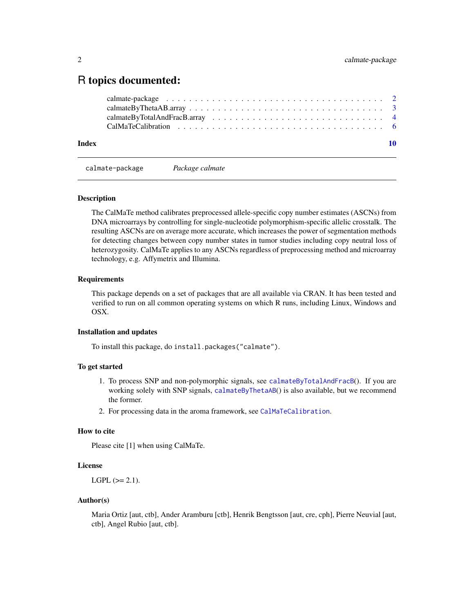### <span id="page-1-0"></span>R topics documented:

| Index |  |
|-------|--|
|       |  |
|       |  |
|       |  |
|       |  |

calmate-package *Package calmate*

#### Description

The CalMaTe method calibrates preprocessed allele-specific copy number estimates (ASCNs) from DNA microarrays by controlling for single-nucleotide polymorphism-specific allelic crosstalk. The resulting ASCNs are on average more accurate, which increases the power of segmentation methods for detecting changes between copy number states in tumor studies including copy neutral loss of heterozygosity. CalMaTe applies to any ASCNs regardless of preprocessing method and microarray technology, e.g. Affymetrix and Illumina.

#### Requirements

This package depends on a set of packages that are all available via CRAN. It has been tested and verified to run on all common operating systems on which R runs, including Linux, Windows and OSX.

#### Installation and updates

To install this package, do install.packages("calmate").

#### To get started

- 1. To process SNP and non-polymorphic signals, see [calmateByTotalAndFracB](#page-3-1)(). If you are working solely with SNP signals, [calmateByThetaAB](#page-2-1)() is also available, but we recommend the former.
- 2. For processing data in the aroma framework, see [CalMaTeCalibration](#page-5-1).

#### How to cite

Please cite [1] when using CalMaTe.

#### License

 $LGPL$  ( $>= 2.1$ ).

#### Author(s)

Maria Ortiz [aut, ctb], Ander Aramburu [ctb], Henrik Bengtsson [aut, cre, cph], Pierre Neuvial [aut, ctb], Angel Rubio [aut, ctb].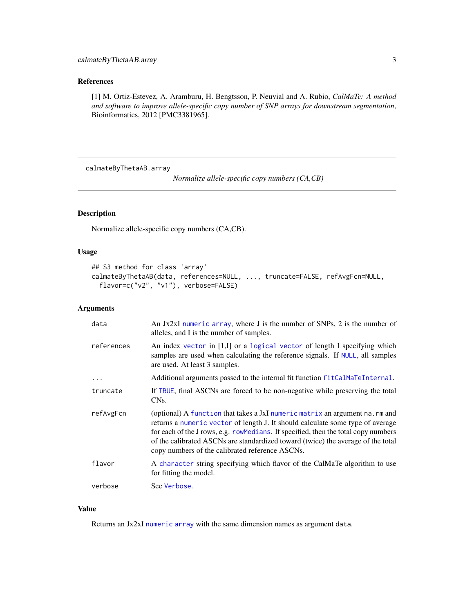#### <span id="page-2-0"></span>References

[1] M. Ortiz-Estevez, A. Aramburu, H. Bengtsson, P. Neuvial and A. Rubio, *CalMaTe: A method and software to improve allele-specific copy number of SNP arrays for downstream segmentation*, Bioinformatics, 2012 [PMC3381965].

calmateByThetaAB.array

*Normalize allele-specific copy numbers (CA,CB)*

#### <span id="page-2-1"></span>Description

Normalize allele-specific copy numbers (CA,CB).

#### Usage

```
## S3 method for class 'array'
calmateByThetaAB(data, references=NULL, ..., truncate=FALSE, refAvgFcn=NULL,
  flavor=c("v2", "v1"), verbose=FALSE)
```
#### Arguments

| data       | An Jx2xI numeric array, where J is the number of SNPs, 2 is the number of<br>alleles, and I is the number of samples.                                                                                                                                                                                                                                                                        |
|------------|----------------------------------------------------------------------------------------------------------------------------------------------------------------------------------------------------------------------------------------------------------------------------------------------------------------------------------------------------------------------------------------------|
| references | An index vector in [1,I] or a logical vector of length I specifying which<br>samples are used when calculating the reference signals. If NULL, all samples<br>are used. At least 3 samples.                                                                                                                                                                                                  |
| $\cdots$   | Additional arguments passed to the internal fit function fitCalMaTeInternal.                                                                                                                                                                                                                                                                                                                 |
| truncate   | If TRUE, final ASCNs are forced to be non-negative while preserving the total<br>CN <sub>s</sub> .                                                                                                                                                                                                                                                                                           |
| refAvgFcn  | (optional) A function that takes a JxI numeric matrix an argument na. rm and<br>returns a numeric vector of length J. It should calculate some type of average<br>for each of the J rows, e.g. row Medians. If specified, then the total copy numbers<br>of the calibrated ASCNs are standardized toward (twice) the average of the total<br>copy numbers of the calibrated reference ASCNs. |
| flavor     | A character string specifying which flavor of the CalMaTe algorithm to use<br>for fitting the model.                                                                                                                                                                                                                                                                                         |
| verbose    | See Verbose.                                                                                                                                                                                                                                                                                                                                                                                 |

#### Value

Returns an Jx2xI [numeric](#page-0-0) [array](#page-0-0) with the same dimension names as argument data.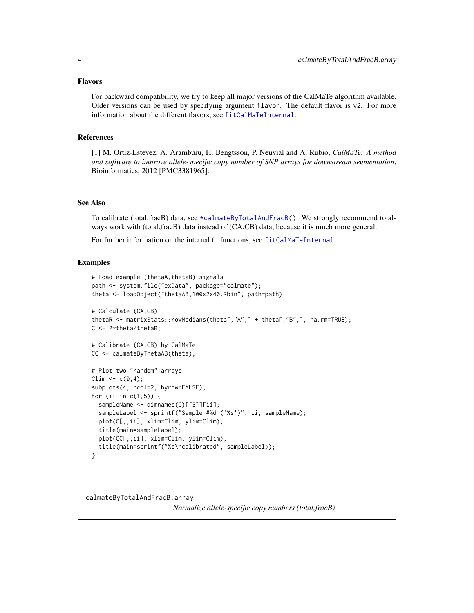#### <span id="page-3-0"></span>Flavors

For backward compatibility, we try to keep all major versions of the CalMaTe algorithm available. Older versions can be used by specifying argument flavor. The default flavor is v2. For more information about the different flavors, see [fitCalMaTeInternal](#page-0-0).

#### References

[1] M. Ortiz-Estevez, A. Aramburu, H. Bengtsson, P. Neuvial and A. Rubio, *CalMaTe: A method and software to improve allele-specific copy number of SNP arrays for downstream segmentation*, Bioinformatics, 2012 [PMC3381965].

#### See Also

To calibrate (total,fracB) data, see [\\*calmateByTotalAndFracB\(](#page-0-0)). We strongly recommend to always work with (total,fracB) data instead of (CA,CB) data, because it is much more general.

For further information on the internal fit functions, see [fitCalMaTeInternal](#page-0-0).

#### Examples

```
# Load example (thetaA,thetaB) signals
path <- system.file("exData", package="calmate");
theta <- loadObject("thetaAB,100x2x40.Rbin", path=path);
# Calculate (CA,CB)
thetaR <- matrixStats::rowMedians(theta[,"A",] + theta[,"B",], na.rm=TRUE);
C \le -2*theta/thetaR;
# Calibrate (CA,CB) by CalMaTe
CC <- calmateByThetaAB(theta);
# Plot two "random" arrays
Clim \leq c(0, 4);
subplots(4, ncol=2, byrow=FALSE);
for (ii in c(1,5)) {
  sampleName <- dimnames(C)[[3]][ii];
  sampleLabel <- sprintf("Sample #%d ('%s')", ii, sampleName);
  plot(C[,,ii], xlim=Clim, ylim=Clim);
  title(main=sampleLabel);
  plot(CC[,,ii], xlim=Clim, ylim=Clim);
  title(main=sprintf("%s\ncalibrated", sampleLabel));
}
```
<span id="page-3-1"></span>calmateByTotalAndFracB.array

*Normalize allele-specific copy numbers (total,fracB)*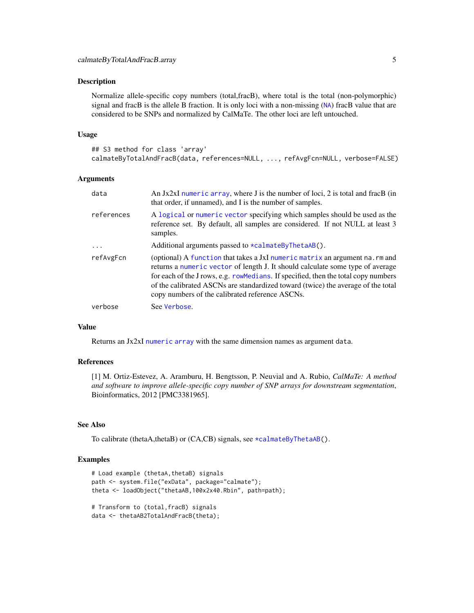#### <span id="page-4-0"></span>Description

Normalize allele-specific copy numbers (total,fracB), where total is the total (non-polymorphic) signal and fracB is the allele B fraction. It is only loci with a non-missing ([NA](#page-0-0)) fracB value that are considered to be SNPs and normalized by CalMaTe. The other loci are left untouched.

#### Usage

```
## S3 method for class 'array'
calmateByTotalAndFracB(data, references=NULL, ..., refAvgFcn=NULL, verbose=FALSE)
```
#### Arguments

| data       | An $Jx2xI$ numeric array, where $J$ is the number of loci, 2 is total and frac $B$ (in<br>that order, if unnamed), and I is the number of samples.                                                                                                                                                                                                                                           |
|------------|----------------------------------------------------------------------------------------------------------------------------------------------------------------------------------------------------------------------------------------------------------------------------------------------------------------------------------------------------------------------------------------------|
| references | A logical or numeric vector specifying which samples should be used as the<br>reference set. By default, all samples are considered. If not NULL at least 3<br>samples.                                                                                                                                                                                                                      |
| .          | Additional arguments passed to $\star$ calmateByThetaAB().                                                                                                                                                                                                                                                                                                                                   |
| refAvgFcn  | (optional) A function that takes a JxI numeric matrix an argument na. rm and<br>returns a numeric vector of length J. It should calculate some type of average<br>for each of the J rows, e.g. row Medians. If specified, then the total copy numbers<br>of the calibrated ASCNs are standardized toward (twice) the average of the total<br>copy numbers of the calibrated reference ASCNs. |
| verbose    | See Verbose.                                                                                                                                                                                                                                                                                                                                                                                 |

#### Value

Returns an Jx2xI [numeric](#page-0-0) [array](#page-0-0) with the same dimension names as argument data.

#### References

[1] M. Ortiz-Estevez, A. Aramburu, H. Bengtsson, P. Neuvial and A. Rubio, *CalMaTe: A method and software to improve allele-specific copy number of SNP arrays for downstream segmentation*, Bioinformatics, 2012 [PMC3381965].

#### See Also

To calibrate (thetaA,thetaB) or (CA,CB) signals, see [\\*calmateByThetaAB\(](#page-0-0)).

#### Examples

```
# Load example (thetaA,thetaB) signals
path <- system.file("exData", package="calmate");
theta <- loadObject("thetaAB,100x2x40.Rbin", path=path);
# Transform to (total,fracB) signals
```
data <- thetaAB2TotalAndFracB(theta);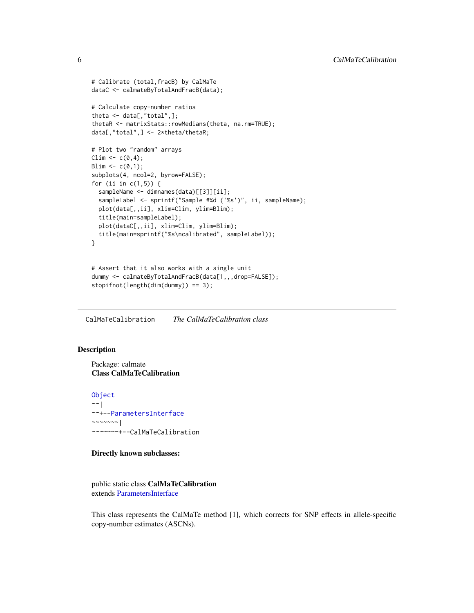```
# Calibrate (total,fracB) by CalMaTe
dataC <- calmateByTotalAndFracB(data);
# Calculate copy-number ratios
theta <- data[,"total",];
thetaR <- matrixStats::rowMedians(theta, na.rm=TRUE);
data[,"total",] <- 2*theta/thetaR;
# Plot two "random" arrays
Clim \leq c(0,4);Blim \leq c(0,1);subplots(4, ncol=2, byrow=FALSE);
for (ii in c(1,5)) {
  sampleName <- dimnames(data)[[3]][ii];
  sampleLabel <- sprintf("Sample #%d ('%s')", ii, sampleName);
  plot(data[,,ii], xlim=Clim, ylim=Blim);
  title(main=sampleLabel);
  plot(dataC[,,ii], xlim=Clim, ylim=Blim);
  title(main=sprintf("%s\ncalibrated", sampleLabel));
}
# Assert that it also works with a single unit
```

```
dummy <- calmateByTotalAndFracB(data[1,,,drop=FALSE]);
stopifnot(length(dim(dummy)) == 3);
```
<span id="page-5-1"></span>CalMaTeCalibration *The CalMaTeCalibration class*

#### Description

Package: calmate Class CalMaTeCalibration

[Object](#page-0-0) ~~| ~~+-[-ParametersInterface](#page-0-0)  $\sim$  ~~~~~~ | ~~~~~~~+--CalMaTeCalibration

Directly known subclasses:

public static class CalMaTeCalibration extends [ParametersInterface](#page-0-0)

This class represents the CalMaTe method [1], which corrects for SNP effects in allele-specific copy-number estimates (ASCNs).

<span id="page-5-0"></span>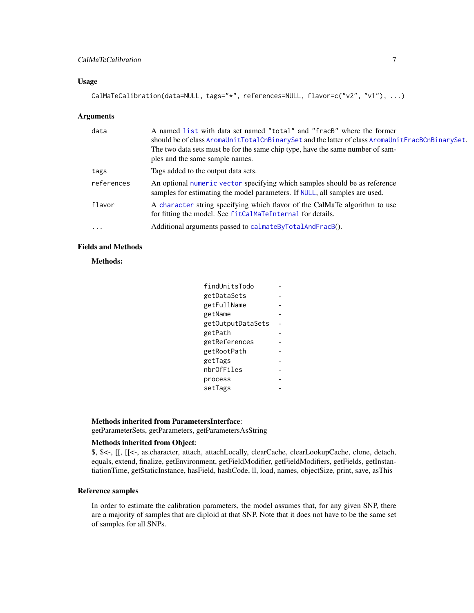#### <span id="page-6-0"></span>CalMaTeCalibration 7

#### Usage

```
CalMaTeCalibration(data=NULL, tags="*", references=NULL, flavor=c("v2", "v1"), ...)
```
#### Arguments

| data       | A named list with data set named "total" and "fracB" where the former<br>should be of class AromaUnitTotalCnBinarySet and the latter of class AromaUnitFracBCnBinarySet.<br>The two data sets must be for the same chip type, have the same number of sam-<br>ples and the same sample names. |
|------------|-----------------------------------------------------------------------------------------------------------------------------------------------------------------------------------------------------------------------------------------------------------------------------------------------|
| tags       | Tags added to the output data sets.                                                                                                                                                                                                                                                           |
| references | An optional numeric vector specifying which samples should be as reference<br>samples for estimating the model parameters. If NULL, all samples are used.                                                                                                                                     |
| flavor     | A character string specifying which flavor of the CalMaTe algorithm to use<br>for fitting the model. See fitCalMaTeInternal for details.                                                                                                                                                      |
| $\ddots$   | Additional arguments passed to calmateByTotalAndFracB().                                                                                                                                                                                                                                      |

#### Fields and Methods

Methods:

| findUnitsTodo     |  |
|-------------------|--|
| getDataSets       |  |
| getFullName       |  |
| getName           |  |
| getOutputDataSets |  |
| getPath           |  |
| getReferences     |  |
| getRootPath       |  |
| getTags           |  |
| nbrOfFiles        |  |
| process           |  |
| setTags           |  |
|                   |  |

#### Methods inherited from ParametersInterface:

getParameterSets, getParameters, getParametersAsString

#### Methods inherited from Object:

\$, \$<-, [[, [[<-, as.character, attach, attachLocally, clearCache, clearLookupCache, clone, detach, equals, extend, finalize, getEnvironment, getFieldModifier, getFieldModifiers, getFields, getInstantiationTime, getStaticInstance, hasField, hashCode, ll, load, names, objectSize, print, save, asThis

#### Reference samples

In order to estimate the calibration parameters, the model assumes that, for any given SNP, there are a majority of samples that are diploid at that SNP. Note that it does not have to be the same set of samples for all SNPs.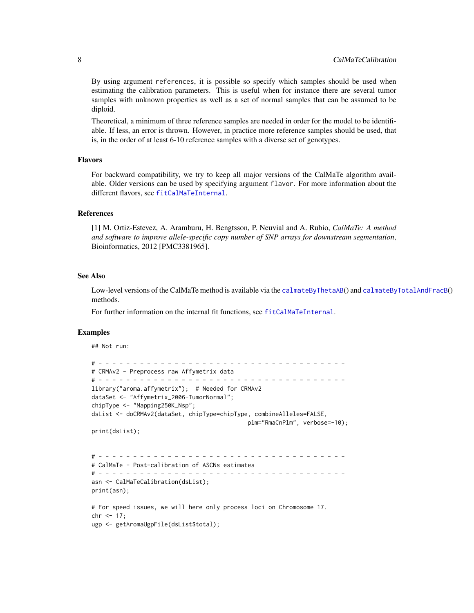<span id="page-7-0"></span>By using argument references, it is possible so specify which samples should be used when estimating the calibration parameters. This is useful when for instance there are several tumor samples with unknown properties as well as a set of normal samples that can be assumed to be diploid.

Theoretical, a minimum of three reference samples are needed in order for the model to be identifiable. If less, an error is thrown. However, in practice more reference samples should be used, that is, in the order of at least 6-10 reference samples with a diverse set of genotypes.

#### Flavors

For backward compatibility, we try to keep all major versions of the CalMaTe algorithm available. Older versions can be used by specifying argument flavor. For more information about the different flavors, see [fitCalMaTeInternal](#page-0-0).

#### References

[1] M. Ortiz-Estevez, A. Aramburu, H. Bengtsson, P. Neuvial and A. Rubio, *CalMaTe: A method and software to improve allele-specific copy number of SNP arrays for downstream segmentation*, Bioinformatics, 2012 [PMC3381965].

#### See Also

Low-level versions of the CalMaTe method is available via the [calmateByThetaAB](#page-2-1)() and [calmateByTotalAndFracB](#page-3-1)() methods.

For further information on the internal fit functions, see [fitCalMaTeInternal](#page-0-0).

#### Examples

## Not run:

```
# - - - - - - - - - - - - - - - - - - - - - - - - - - - - - - - - - - - -
# CRMAv2 - Preprocess raw Affymetrix data
# - - - - - - - - - - - - - - - - - - - - - - - - - - - - - - - - - - - -
library("aroma.affymetrix"); # Needed for CRMAv2
dataSet <- "Affymetrix_2006-TumorNormal";
chipType <- "Mapping250K_Nsp";
dsList <- doCRMAv2(dataSet, chipType=chipType, combineAlleles=FALSE,
                                             plm="RmaCnPlm", verbose=-10);
print(dsList);
# - - - - - - - - - - - - - - - - - - - - - - - - - - - - - - - - - - - -
# CalMaTe - Post-calibration of ASCNs estimates
# - - - - - - - - - - - - - - - - - - - - - - - - - - - - - - - - - - - -
asn <- CalMaTeCalibration(dsList);
print(asn);
# For speed issues, we will here only process loci on Chromosome 17.
chr < -17;
ugp <- getAromaUgpFile(dsList$total);
```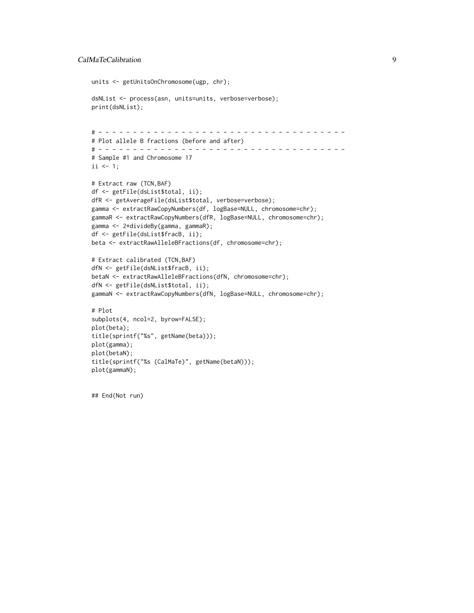#### CalMaTeCalibration 9

```
units <- getUnitsOnChromosome(ugp, chr);
dsNList <- process(asn, units=units, verbose=verbose);
print(dsNList);
# - - - - - - - - - - - - - - - - - - - - - - - - - - - - - - - - - - - -
# Plot allele B fractions (before and after)
# - - - - - - - - - - - - - - - - - - - - - - - - - - - - - - - - - - - -
# Sample #1 and Chromosome 17
ii \leq 1;# Extract raw (TCN,BAF)
df <- getFile(dsList$total, ii);
dfR <- getAverageFile(dsList$total, verbose=verbose);
gamma <- extractRawCopyNumbers(df, logBase=NULL, chromosome=chr);
gammaR <- extractRawCopyNumbers(dfR, logBase=NULL, chromosome=chr);
gamma <- 2*divideBy(gamma, gammaR);
df <- getFile(dsList$fracB, ii);
beta <- extractRawAlleleBFractions(df, chromosome=chr);
# Extract calibrated (TCN,BAF)
dfN <- getFile(dsNList$fracB, ii);
betaN <- extractRawAlleleBFractions(dfN, chromosome=chr);
dfN <- getFile(dsNList$total, ii);
gammaN <- extractRawCopyNumbers(dfN, logBase=NULL, chromosome=chr);
# Plot
subplots(4, ncol=2, byrow=FALSE);
plot(beta);
title(sprintf("%s", getName(beta)));
plot(gamma);
plot(betaN);
title(sprintf("%s (CalMaTe)", getName(betaN)));
plot(gammaN);
```
## End(Not run)